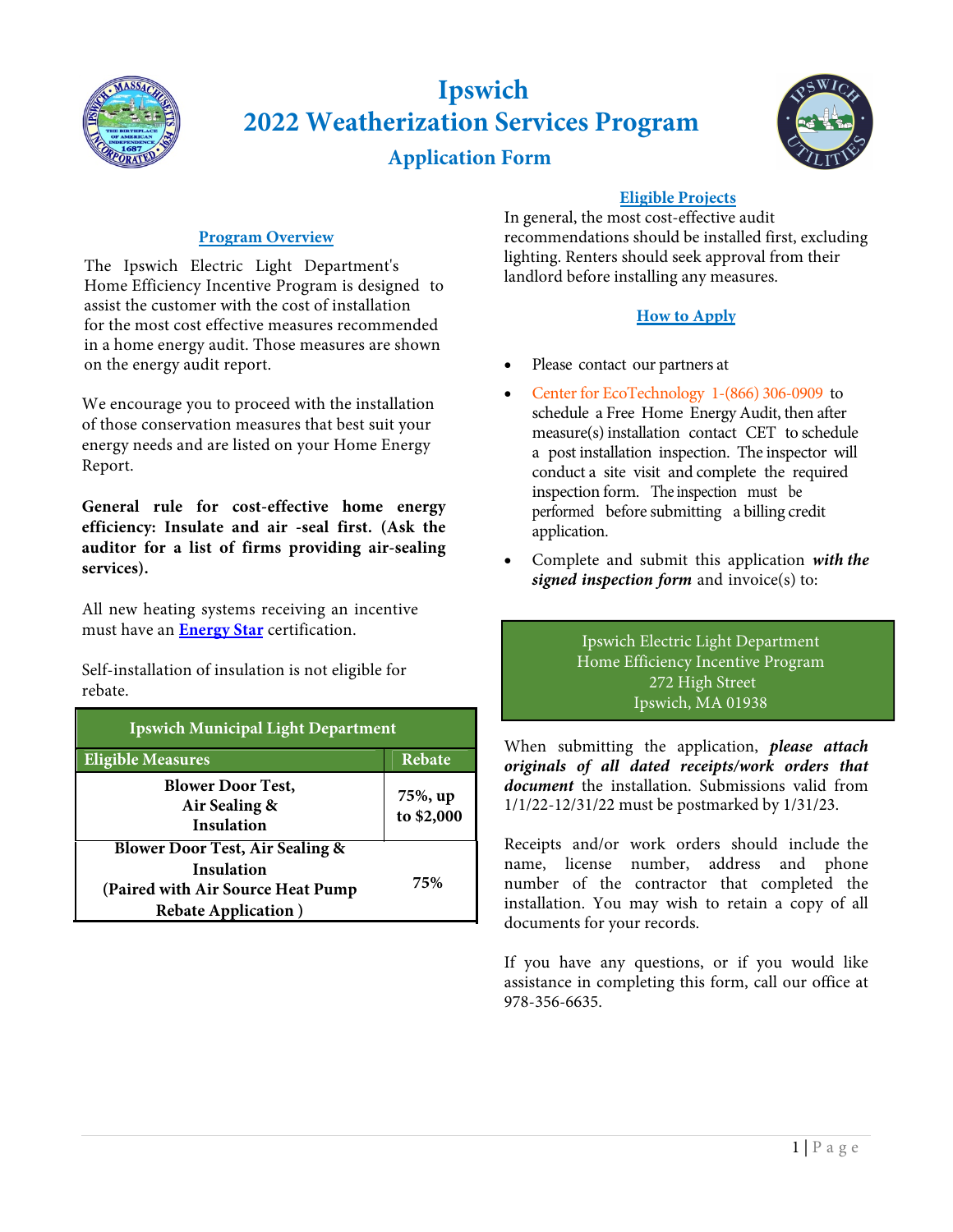

# **Ipswich 2022 Weatherization Services Program**

 **Application Form**



# **Program Overview**

The Ipswich Electric Light Department's Home Efficiency Incentive Program is designed to assist the customer with the cost of installation for the most cost effective measures recommended in a home energy audit. Those measures are shown on the energy audit report.

We encourage you to proceed with the installation of those conservation measures that best suit your energy needs and are listed on your Home Energy Report.

**General rule for cost-effective home energy efficiency: Insulate and air -seal first. (Ask the auditor for a list of firms providing air-sealing services).**

All new heating systems receiving an incentive must have an **Energy Star** certification.

Self-installation of insulation is not eligible for rebate.

| <b>Ipswich Municipal Light Department</b>                                                                                     |                       |  |  |  |
|-------------------------------------------------------------------------------------------------------------------------------|-----------------------|--|--|--|
| <b>Eligible Measures</b>                                                                                                      | Rebate                |  |  |  |
| <b>Blower Door Test,</b><br>Air Sealing &<br>Insulation                                                                       | 75%, up<br>to \$2,000 |  |  |  |
| <b>Blower Door Test, Air Sealing &amp;</b><br>Insulation<br>(Paired with Air Source Heat Pump)<br><b>Rebate Application</b> ) | 75%                   |  |  |  |

## **Eligible Projects**

In general, the most cost-effective audit recommendations should be installed first, excluding lighting. Renters should seek approval from their landlord before installing any measures.

# **How to Apply**

- Please contact our partners at
- Center for EcoTechnology 1-(866) 306-0909 to schedule a Free Home Energy Audit, then after measure(s) installation contact CET to schedule a post installation inspection. The inspector will conduct a site visit and complete the required inspection form. The inspection must be performed before submitting a billing credit application.
- Complete and submit this application *with the signed inspection form* and invoice(s) to:

## Ipswich Electric Light Department Home Efficiency Incentive Program 272 High Street Ipswich, MA 01938

When submitting the application, *please attach originals of all dated receipts/work orders that document* the installation. Submissions valid from 1/1/22-12/31/22 must be postmarked by 1/31/23.

Receipts and/or work orders should include the name, license number, address and phone number of the contractor that completed the installation. You may wish to retain a copy of all documents for your records.

If you have any questions, or if you would like assistance in completing this form, call our office at 978-356-6635.